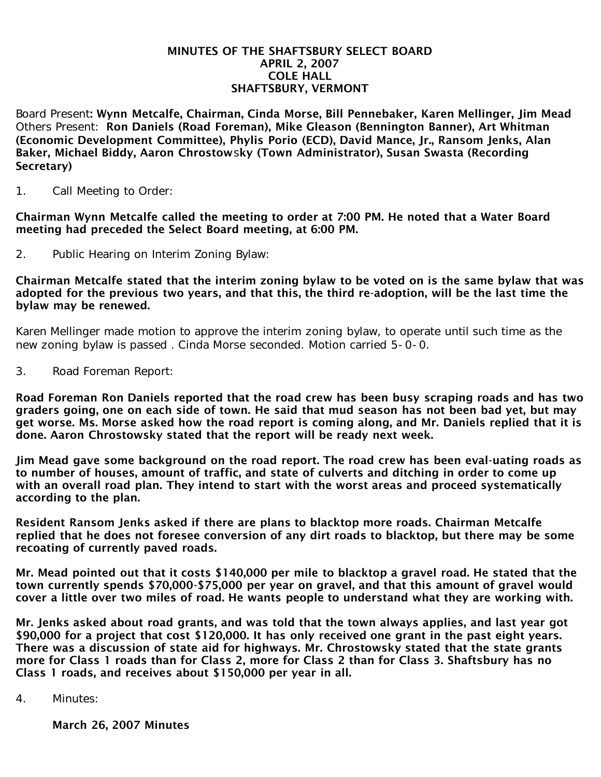#### MINUTES OF THE SHAFTSBURY SELECT BOARD APRIL 2, 2007 COLE HALL SHAFTSBURY, VERMONT

Board Present: Wynn Metcalfe, Chairman, Cinda Morse, Bill Pennebaker, Karen Mellinger, Jim Mead Others Present: Ron Daniels (Road Foreman), Mike Gleason (Bennington Banner), Art Whitman (Economic Development Committee), Phylis Porio (ECD), David Mance, Jr., Ransom Jenks, Alan Baker, Michael Biddy, Aaron Chrostowsky (Town Administrator), Susan Swasta (Recording Secretary)

1. Call Meeting to Order:

Chairman Wynn Metcalfe called the meeting to order at 7:00 PM. He noted that a Water Board meeting had preceded the Select Board meeting, at 6:00 PM.

2. Public Hearing on Interim Zoning Bylaw:

Chairman Metcalfe stated that the interim zoning bylaw to be voted on is the same bylaw that was adopted for the previous two years, and that this, the third re-adoption, will be the last time the bylaw may be renewed.

Karen Mellinger made motion to approve the interim zoning bylaw, to operate until such time as the new zoning bylaw is passed . Cinda Morse seconded. Motion carried 5-0-0.

3. Road Foreman Report:

Road Foreman Ron Daniels reported that the road crew has been busy scraping roads and has two graders going, one on each side of town. He said that mud season has not been bad yet, but may get worse. Ms. Morse asked how the road report is coming along, and Mr. Daniels replied that it is done. Aaron Chrostowsky stated that the report will be ready next week.

Jim Mead gave some background on the road report. The road crew has been eval-uating roads as to number of houses, amount of traffic, and state of culverts and ditching in order to come up with an overall road plan. They intend to start with the worst areas and proceed systematically according to the plan.

Resident Ransom Jenks asked if there are plans to blacktop more roads. Chairman Metcalfe replied that he does not foresee conversion of any dirt roads to blacktop, but there may be some recoating of currently paved roads.

Mr. Mead pointed out that it costs \$140,000 per mile to blacktop a gravel road. He stated that the town currently spends \$70,000-\$75,000 per year on gravel, and that this amount of gravel would cover a little over two miles of road. He wants people to understand what they are working with.

Mr. Jenks asked about road grants, and was told that the town always applies, and last year got \$90,000 for a project that cost \$120,000. It has only received one grant in the past eight years. There was a discussion of state aid for highways. Mr. Chrostowsky stated that the state grants more for Class 1 roads than for Class 2, more for Class 2 than for Class 3. Shaftsbury has no Class 1 roads, and receives about \$150,000 per year in all.

4. Minutes:

March 26, 2007 Minutes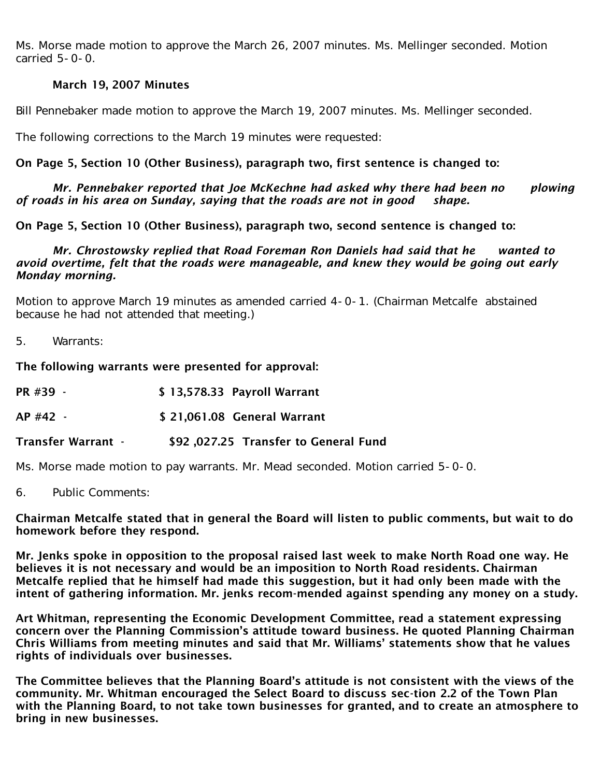Ms. Morse made motion to approve the March 26, 2007 minutes. Ms. Mellinger seconded. Motion carried 5-0-0.

# March 19, 2007 Minutes

Bill Pennebaker made motion to approve the March 19, 2007 minutes. Ms. Mellinger seconded.

The following corrections to the March 19 minutes were requested:

# On Page 5, Section 10 (Other Business), paragraph two, first sentence is changed to:

### *Mr. Pennebaker reported that Joe McKechne had asked why there had been no plowing of roads in his area on Sunday, saying that the roads are not in good shape.*

On Page 5, Section 10 (Other Business), paragraph two, second sentence is changed to:

### *Mr. Chrostowsky replied that Road Foreman Ron Daniels had said that he wanted to avoid overtime, felt that the roads were manageable, and knew they would be going out early Monday morning.*

Motion to approve March 19 minutes as amended carried 4-0-1. (Chairman Metcalfe abstained because he had not attended that meeting.)

5. Warrants:

The following warrants were presented for approval:

| \$13,578.33 Payroll Warrant<br>PR #39 - |
|-----------------------------------------|
|-----------------------------------------|

AP #42 - \$ 21,061.08 General Warrant

Transfer Warrant - \$92 ,027.25 Transfer to General Fund

Ms. Morse made motion to pay warrants. Mr. Mead seconded. Motion carried 5-0-0.

6. Public Comments:

Chairman Metcalfe stated that in general the Board will listen to public comments, but wait to do homework before they respond.

Mr. Jenks spoke in opposition to the proposal raised last week to make North Road one way. He believes it is not necessary and would be an imposition to North Road residents. Chairman Metcalfe replied that he himself had made this suggestion, but it had only been made with the intent of gathering information. Mr. jenks recom-mended against spending any money on a study.

Art Whitman, representing the Economic Development Committee, read a statement expressing concern over the Planning Commission's attitude toward business. He quoted Planning Chairman Chris Williams from meeting minutes and said that Mr. Williams' statements show that he values rights of individuals over businesses.

The Committee believes that the Planning Board's attitude is not consistent with the views of the community. Mr. Whitman encouraged the Select Board to discuss sec-tion 2.2 of the Town Plan with the Planning Board, to not take town businesses for granted, and to create an atmosphere to bring in new businesses.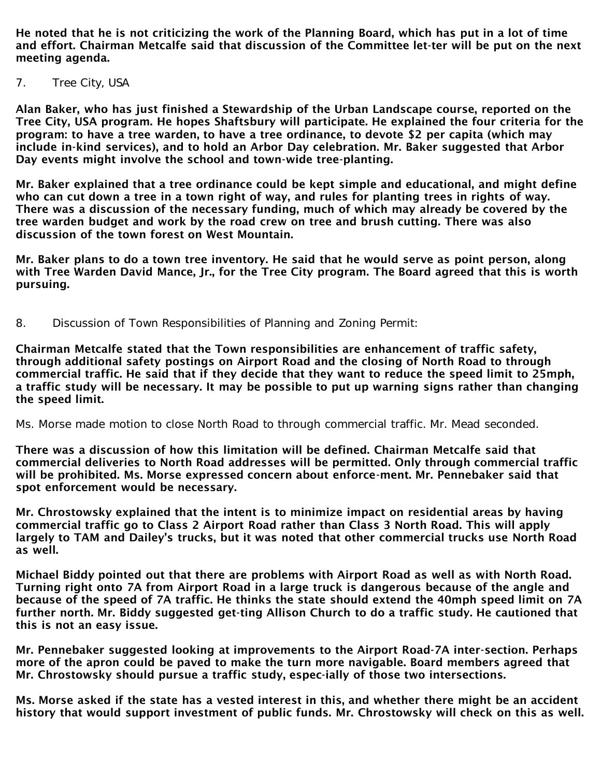He noted that he is not criticizing the work of the Planning Board, which has put in a lot of time and effort. Chairman Metcalfe said that discussion of the Committee let-ter will be put on the next meeting agenda.

7. Tree City, USA

Alan Baker, who has just finished a Stewardship of the Urban Landscape course, reported on the Tree City, USA program. He hopes Shaftsbury will participate. He explained the four criteria for the program: to have a tree warden, to have a tree ordinance, to devote \$2 per capita (which may include in-kind services), and to hold an Arbor Day celebration. Mr. Baker suggested that Arbor Day events might involve the school and town-wide tree-planting.

Mr. Baker explained that a tree ordinance could be kept simple and educational, and might define who can cut down a tree in a town right of way, and rules for planting trees in rights of way. There was a discussion of the necessary funding, much of which may already be covered by the tree warden budget and work by the road crew on tree and brush cutting. There was also discussion of the town forest on West Mountain.

Mr. Baker plans to do a town tree inventory. He said that he would serve as point person, along with Tree Warden David Mance, Jr., for the Tree City program. The Board agreed that this is worth pursuing.

8. Discussion of Town Responsibilities of Planning and Zoning Permit:

Chairman Metcalfe stated that the Town responsibilities are enhancement of traffic safety, through additional safety postings on Airport Road and the closing of North Road to through commercial traffic. He said that if they decide that they want to reduce the speed limit to 25mph, a traffic study will be necessary. It may be possible to put up warning signs rather than changing the speed limit.

Ms. Morse made motion to close North Road to through commercial traffic. Mr. Mead seconded.

There was a discussion of how this limitation will be defined. Chairman Metcalfe said that commercial deliveries to North Road addresses will be permitted. Only through commercial traffic will be prohibited. Ms. Morse expressed concern about enforce-ment. Mr. Pennebaker said that spot enforcement would be necessary.

Mr. Chrostowsky explained that the intent is to minimize impact on residential areas by having commercial traffic go to Class 2 Airport Road rather than Class 3 North Road. This will apply largely to TAM and Dailey's trucks, but it was noted that other commercial trucks use North Road as well.

Michael Biddy pointed out that there are problems with Airport Road as well as with North Road. Turning right onto 7A from Airport Road in a large truck is dangerous because of the angle and because of the speed of 7A traffic. He thinks the state should extend the 40mph speed limit on 7A further north. Mr. Biddy suggested get-ting Allison Church to do a traffic study. He cautioned that this is not an easy issue.

Mr. Pennebaker suggested looking at improvements to the Airport Road-7A inter-section. Perhaps more of the apron could be paved to make the turn more navigable. Board members agreed that Mr. Chrostowsky should pursue a traffic study, espec-ially of those two intersections.

Ms. Morse asked if the state has a vested interest in this, and whether there might be an accident history that would support investment of public funds. Mr. Chrostowsky will check on this as well.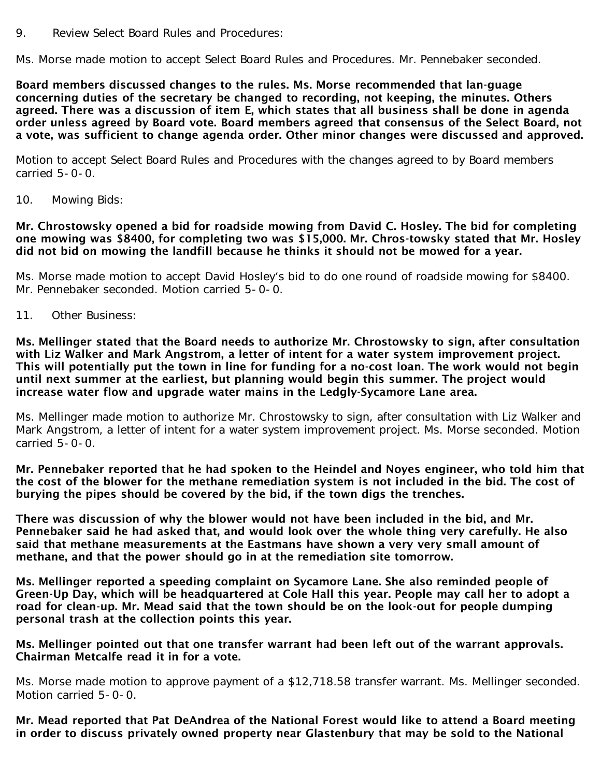9. Review Select Board Rules and Procedures:

Ms. Morse made motion to accept Select Board Rules and Procedures. Mr. Pennebaker seconded.

Board members discussed changes to the rules. Ms. Morse recommended that lan-guage concerning duties of the secretary be changed to recording, not keeping, the minutes. Others agreed. There was a discussion of item E, which states that all business shall be done in agenda order unless agreed by Board vote. Board members agreed that consensus of the Select Board, not a vote, was sufficient to change agenda order. Other minor changes were discussed and approved.

Motion to accept Select Board Rules and Procedures with the changes agreed to by Board members carried  $5-0-0$ .

10. Mowing Bids:

Mr. Chrostowsky opened a bid for roadside mowing from David C. Hosley. The bid for completing one mowing was \$8400, for completing two was \$15,000. Mr. Chros-towsky stated that Mr. Hosley did not bid on mowing the landfill because he thinks it should not be mowed for a year.

Ms. Morse made motion to accept David Hosley's bid to do one round of roadside mowing for \$8400. Mr. Pennebaker seconded. Motion carried 5-0-0.

11. Other Business:

Ms. Mellinger stated that the Board needs to authorize Mr. Chrostowsky to sign, after consultation with Liz Walker and Mark Angstrom, a letter of intent for a water system improvement project. This will potentially put the town in line for funding for a no-cost loan. The work would not begin until next summer at the earliest, but planning would begin this summer. The project would increase water flow and upgrade water mains in the Ledgly-Sycamore Lane area.

Ms. Mellinger made motion to authorize Mr. Chrostowsky to sign, after consultation with Liz Walker and Mark Angstrom, a letter of intent for a water system improvement project. Ms. Morse seconded. Motion carried  $5-0-0$ .

Mr. Pennebaker reported that he had spoken to the Heindel and Noyes engineer, who told him that the cost of the blower for the methane remediation system is not included in the bid. The cost of burying the pipes should be covered by the bid, if the town digs the trenches.

There was discussion of why the blower would not have been included in the bid, and Mr. Pennebaker said he had asked that, and would look over the whole thing very carefully. He also said that methane measurements at the Eastmans have shown a very very small amount of methane, and that the power should go in at the remediation site tomorrow.

Ms. Mellinger reported a speeding complaint on Sycamore Lane. She also reminded people of Green-Up Day, which will be headquartered at Cole Hall this year. People may call her to adopt a road for clean-up. Mr. Mead said that the town should be on the look-out for people dumping personal trash at the collection points this year.

#### Ms. Mellinger pointed out that one transfer warrant had been left out of the warrant approvals. Chairman Metcalfe read it in for a vote.

Ms. Morse made motion to approve payment of a \$12,718.58 transfer warrant. Ms. Mellinger seconded. Motion carried 5-0-0.

Mr. Mead reported that Pat DeAndrea of the National Forest would like to attend a Board meeting in order to discuss privately owned property near Glastenbury that may be sold to the National